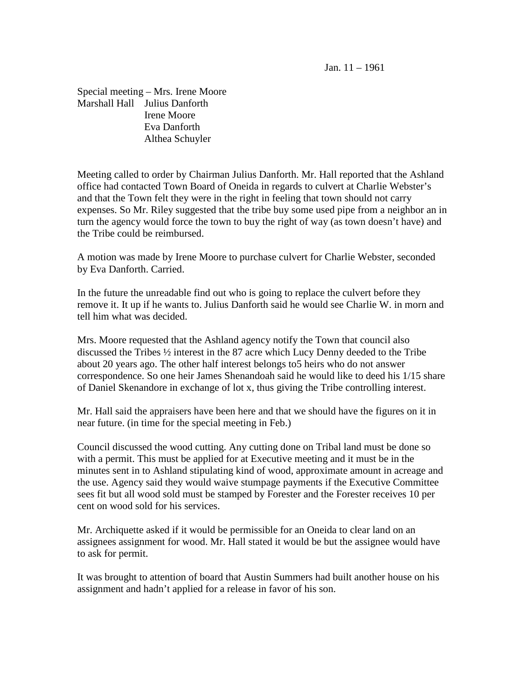Jan. 11 – 1961

Special meeting – Mrs. Irene Moore Marshall Hall Julius Danforth Irene Moore Eva Danforth Althea Schuyler

Meeting called to order by Chairman Julius Danforth. Mr. Hall reported that the Ashland office had contacted Town Board of Oneida in regards to culvert at Charlie Webster's and that the Town felt they were in the right in feeling that town should not carry expenses. So Mr. Riley suggested that the tribe buy some used pipe from a neighbor an in turn the agency would force the town to buy the right of way (as town doesn't have) and the Tribe could be reimbursed.

A motion was made by Irene Moore to purchase culvert for Charlie Webster, seconded by Eva Danforth. Carried.

In the future the unreadable find out who is going to replace the culvert before they remove it. It up if he wants to. Julius Danforth said he would see Charlie W. in morn and tell him what was decided.

Mrs. Moore requested that the Ashland agency notify the Town that council also discussed the Tribes ½ interest in the 87 acre which Lucy Denny deeded to the Tribe about 20 years ago. The other half interest belongs to5 heirs who do not answer correspondence. So one heir James Shenandoah said he would like to deed his 1/15 share of Daniel Skenandore in exchange of lot x, thus giving the Tribe controlling interest.

Mr. Hall said the appraisers have been here and that we should have the figures on it in near future. (in time for the special meeting in Feb.)

Council discussed the wood cutting. Any cutting done on Tribal land must be done so with a permit. This must be applied for at Executive meeting and it must be in the minutes sent in to Ashland stipulating kind of wood, approximate amount in acreage and the use. Agency said they would waive stumpage payments if the Executive Committee sees fit but all wood sold must be stamped by Forester and the Forester receives 10 per cent on wood sold for his services.

Mr. Archiquette asked if it would be permissible for an Oneida to clear land on an assignees assignment for wood. Mr. Hall stated it would be but the assignee would have to ask for permit.

It was brought to attention of board that Austin Summers had built another house on his assignment and hadn't applied for a release in favor of his son.